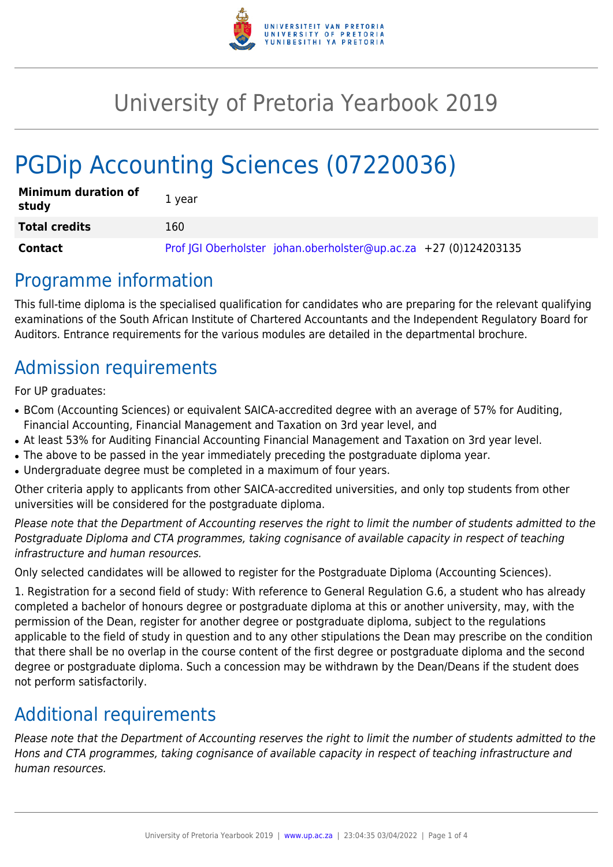

# University of Pretoria Yearbook 2019

# PGDip Accounting Sciences (07220036)

| <b>Minimum duration of</b><br>study | 1 year                                                           |
|-------------------------------------|------------------------------------------------------------------|
| <b>Total credits</b>                | 160                                                              |
| Contact                             | Prof JGI Oberholster johan.oberholster@up.ac.za +27 (0)124203135 |

# Programme information

This full-time diploma is the specialised qualification for candidates who are preparing for the relevant qualifying examinations of the South African Institute of Chartered Accountants and the Independent Regulatory Board for Auditors. Entrance requirements for the various modules are detailed in the departmental brochure.

# Admission requirements

For UP graduates:

- BCom (Accounting Sciences) or equivalent SAICA-accredited degree with an average of 57% for Auditing, Financial Accounting, Financial Management and Taxation on 3rd year level, and
- At least 53% for Auditing Financial Accounting Financial Management and Taxation on 3rd year level.
- The above to be passed in the year immediately preceding the postgraduate diploma year.
- Undergraduate degree must be completed in a maximum of four years.

Other criteria apply to applicants from other SAICA-accredited universities, and only top students from other universities will be considered for the postgraduate diploma.

Please note that the Department of Accounting reserves the right to limit the number of students admitted to the Postgraduate Diploma and CTA programmes, taking cognisance of available capacity in respect of teaching infrastructure and human resources.

Only selected candidates will be allowed to register for the Postgraduate Diploma (Accounting Sciences).

1. Registration for a second field of study: With reference to General Regulation G.6, a student who has already completed a bachelor of honours degree or postgraduate diploma at this or another university, may, with the permission of the Dean, register for another degree or postgraduate diploma, subject to the regulations applicable to the field of study in question and to any other stipulations the Dean may prescribe on the condition that there shall be no overlap in the course content of the first degree or postgraduate diploma and the second degree or postgraduate diploma. Such a concession may be withdrawn by the Dean/Deans if the student does not perform satisfactorily.

# Additional requirements

Please note that the Department of Accounting reserves the right to limit the number of students admitted to the Hons and CTA programmes, taking cognisance of available capacity in respect of teaching infrastructure and human resources.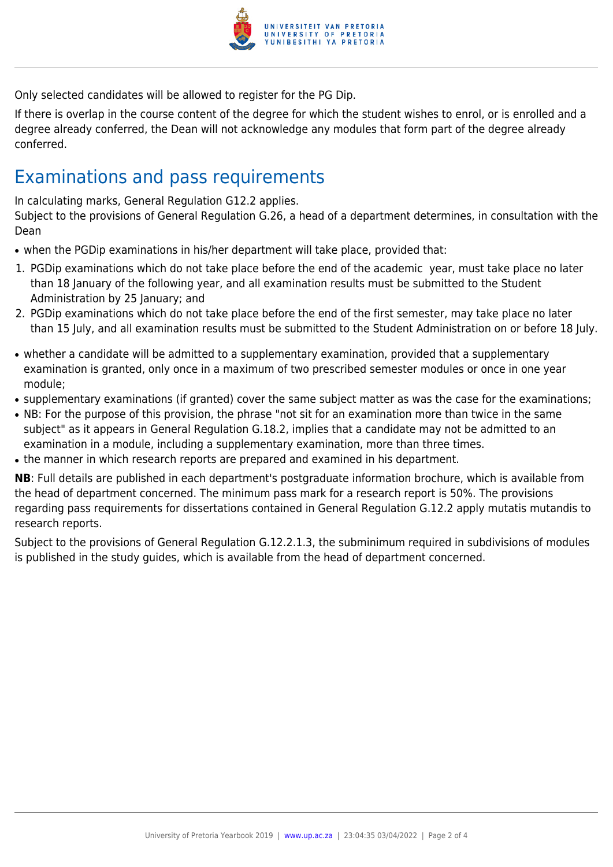

Only selected candidates will be allowed to register for the PG Dip.

If there is overlap in the course content of the degree for which the student wishes to enrol, or is enrolled and a degree already conferred, the Dean will not acknowledge any modules that form part of the degree already conferred.

# Examinations and pass requirements

In calculating marks, General Regulation G12.2 applies.

Subject to the provisions of General Regulation G.26, a head of a department determines, in consultation with the Dean

- when the PGDip examinations in his/her department will take place, provided that:
- 1. PGDip examinations which do not take place before the end of the academic year, must take place no later than 18 January of the following year, and all examination results must be submitted to the Student Administration by 25 January; and
- 2. PGDip examinations which do not take place before the end of the first semester, may take place no later than 15 July, and all examination results must be submitted to the Student Administration on or before 18 July.
- whether a candidate will be admitted to a supplementary examination, provided that a supplementary examination is granted, only once in a maximum of two prescribed semester modules or once in one year module;
- supplementary examinations (if granted) cover the same subject matter as was the case for the examinations;
- NB: For the purpose of this provision, the phrase "not sit for an examination more than twice in the same subject" as it appears in General Regulation G.18.2, implies that a candidate may not be admitted to an examination in a module, including a supplementary examination, more than three times.
- the manner in which research reports are prepared and examined in his department.

**NB**: Full details are published in each department's postgraduate information brochure, which is available from the head of department concerned. The minimum pass mark for a research report is 50%. The provisions regarding pass requirements for dissertations contained in General Regulation G.12.2 apply mutatis mutandis to research reports.

Subject to the provisions of General Regulation G.12.2.1.3, the subminimum required in subdivisions of modules is published in the study guides, which is available from the head of department concerned.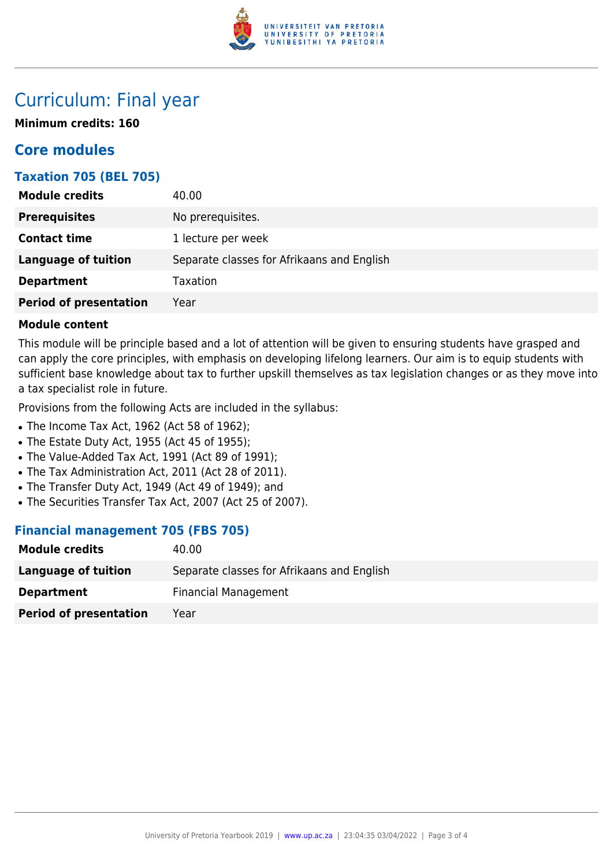

# Curriculum: Final year

**Minimum credits: 160**

## **Core modules**

## **Taxation 705 (BEL 705)**

| <b>Module credits</b>         | 40.00                                      |
|-------------------------------|--------------------------------------------|
| <b>Prerequisites</b>          | No prerequisites.                          |
| <b>Contact time</b>           | 1 lecture per week                         |
| <b>Language of tuition</b>    | Separate classes for Afrikaans and English |
| <b>Department</b>             | <b>Taxation</b>                            |
| <b>Period of presentation</b> | Year                                       |

### **Module content**

This module will be principle based and a lot of attention will be given to ensuring students have grasped and can apply the core principles, with emphasis on developing lifelong learners. Our aim is to equip students with sufficient base knowledge about tax to further upskill themselves as tax legislation changes or as they move into a tax specialist role in future.

Provisions from the following Acts are included in the syllabus:

- The Income Tax Act, 1962 (Act 58 of 1962);
- The Estate Duty Act, 1955 (Act 45 of 1955);
- The Value-Added Tax Act, 1991 (Act 89 of 1991);
- The Tax Administration Act, 2011 (Act 28 of 2011).
- The Transfer Duty Act, 1949 (Act 49 of 1949); and
- The Securities Transfer Tax Act, 2007 (Act 25 of 2007).

## **Financial management 705 (FBS 705)**

| <b>Module credits</b>         | 40.00                                      |
|-------------------------------|--------------------------------------------|
| Language of tuition           | Separate classes for Afrikaans and English |
| <b>Department</b>             | <b>Financial Management</b>                |
| <b>Period of presentation</b> | Year                                       |